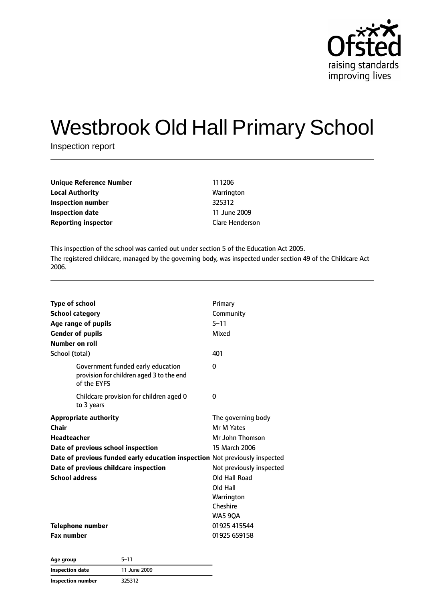

# Westbrook Old Hall Primary School

Inspection report

| <b>Unique Reference Number</b> | 111206                 |
|--------------------------------|------------------------|
| <b>Local Authority</b>         | Warrington             |
| <b>Inspection number</b>       | 325312                 |
| <b>Inspection date</b>         | 11 June 2009           |
| <b>Reporting inspector</b>     | <b>Clare Henderson</b> |
|                                |                        |

This inspection of the school was carried out under section 5 of the Education Act 2005. The registered childcare, managed by the governing body, was inspected under section 49 of the Childcare Act 2006.

| <b>Type of school</b><br><b>School category</b><br>Age range of pupils<br><b>Gender of pupils</b><br>Number on roll                                                                                                                                | Primary<br>Community<br>$5 - 11$<br>Mixed                                                                                                                          |
|----------------------------------------------------------------------------------------------------------------------------------------------------------------------------------------------------------------------------------------------------|--------------------------------------------------------------------------------------------------------------------------------------------------------------------|
| School (total)                                                                                                                                                                                                                                     | 401                                                                                                                                                                |
| Government funded early education<br>provision for children aged 3 to the end<br>of the EYFS                                                                                                                                                       | 0                                                                                                                                                                  |
| Childcare provision for children aged 0<br>to 3 years                                                                                                                                                                                              | 0                                                                                                                                                                  |
| <b>Appropriate authority</b><br>Chair<br><b>Headteacher</b><br>Date of previous school inspection<br>Date of previous funded early education inspection Not previously inspected<br>Date of previous childcare inspection<br><b>School address</b> | The governing body<br>Mr M Yates<br>Mr John Thomson<br>15 March 2006<br>Not previously inspected<br>Old Hall Road<br>Old Hall<br>Warrington<br>Cheshire<br>WA5 9QA |
| <b>Telephone number</b><br><b>Fax number</b>                                                                                                                                                                                                       | 01925 415544<br>01925 659158                                                                                                                                       |

| Age group                | $5 - 11$     |  |
|--------------------------|--------------|--|
| Inspection date          | 11 June 2009 |  |
| <b>Inspection number</b> | 325312       |  |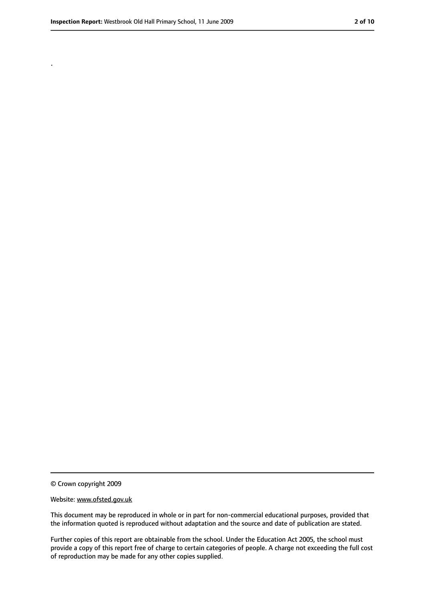.

#### Website: www.ofsted.gov.uk

This document may be reproduced in whole or in part for non-commercial educational purposes, provided that the information quoted is reproduced without adaptation and the source and date of publication are stated.

Further copies of this report are obtainable from the school. Under the Education Act 2005, the school must provide a copy of this report free of charge to certain categories of people. A charge not exceeding the full cost of reproduction may be made for any other copies supplied.

<sup>©</sup> Crown copyright 2009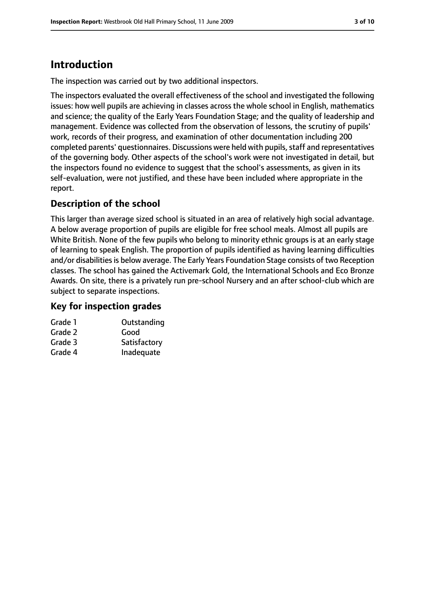# **Introduction**

The inspection was carried out by two additional inspectors.

The inspectors evaluated the overall effectiveness of the school and investigated the following issues: how well pupils are achieving in classes across the whole school in English, mathematics and science; the quality of the Early Years Foundation Stage; and the quality of leadership and management. Evidence was collected from the observation of lessons, the scrutiny of pupils' work, records of their progress, and examination of other documentation including 200 completed parents' questionnaires. Discussions were held with pupils, staff and representatives of the governing body. Other aspects of the school's work were not investigated in detail, but the inspectors found no evidence to suggest that the school's assessments, as given in its self-evaluation, were not justified, and these have been included where appropriate in the report.

# **Description of the school**

This larger than average sized school is situated in an area of relatively high social advantage. A below average proportion of pupils are eligible for free school meals. Almost all pupils are White British. None of the few pupils who belong to minority ethnic groups is at an early stage of learning to speak English. The proportion of pupils identified as having learning difficulties and/or disabilities is below average. The Early Years Foundation Stage consists of two Reception classes. The school has gained the Activemark Gold, the International Schools and Eco Bronze Awards. On site, there is a privately run pre-school Nursery and an after school-club which are subject to separate inspections.

#### **Key for inspection grades**

| Grade 1 | Outstanding  |
|---------|--------------|
| Grade 2 | Good         |
| Grade 3 | Satisfactory |
| Grade 4 | Inadequate   |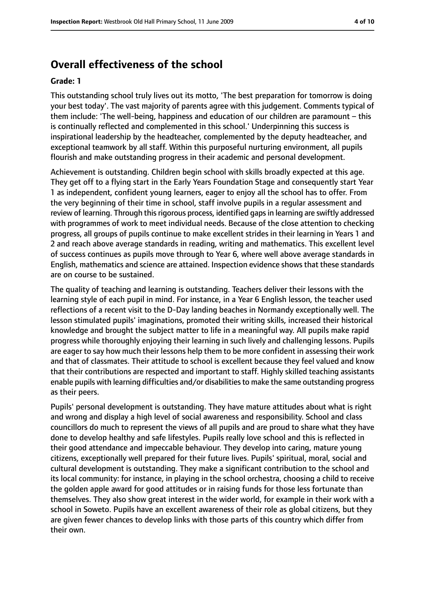# **Overall effectiveness of the school**

#### **Grade: 1**

This outstanding school truly lives out its motto, 'The best preparation for tomorrow is doing your best today'. The vast majority of parents agree with this judgement. Comments typical of them include: 'The well-being, happiness and education of our children are paramount – this is continually reflected and complemented in this school.' Underpinning this success is inspirational leadership by the headteacher, complemented by the deputy headteacher, and exceptional teamwork by all staff. Within this purposeful nurturing environment, all pupils flourish and make outstanding progress in their academic and personal development.

Achievement is outstanding. Children begin school with skills broadly expected at this age. They get off to a flying start in the Early Years Foundation Stage and consequently start Year 1 as independent, confident young learners, eager to enjoy all the school has to offer. From the very beginning of their time in school, staff involve pupils in a regular assessment and review of learning. Through this rigorous process, identified gaps in learning are swiftly addressed with programmes of work to meet individual needs. Because of the close attention to checking progress, all groups of pupils continue to make excellent strides in their learning in Years 1 and 2 and reach above average standards in reading, writing and mathematics. This excellent level of success continues as pupils move through to Year 6, where well above average standards in English, mathematics and science are attained. Inspection evidence shows that these standards are on course to be sustained.

The quality of teaching and learning is outstanding. Teachers deliver their lessons with the learning style of each pupil in mind. For instance, in a Year 6 English lesson, the teacher used reflections of a recent visit to the D-Day landing beaches in Normandy exceptionally well. The lesson stimulated pupils' imaginations, promoted their writing skills, increased their historical knowledge and brought the subject matter to life in a meaningful way. All pupils make rapid progress while thoroughly enjoying their learning in such lively and challenging lessons. Pupils are eager to say how much their lessons help them to be more confident in assessing their work and that of classmates. Their attitude to school is excellent because they feel valued and know that their contributions are respected and important to staff. Highly skilled teaching assistants enable pupils with learning difficulties and/or disabilities to make the same outstanding progress as their peers.

Pupils' personal development is outstanding. They have mature attitudes about what is right and wrong and display a high level of social awareness and responsibility. School and class councillors do much to represent the views of all pupils and are proud to share what they have done to develop healthy and safe lifestyles. Pupils really love school and this is reflected in their good attendance and impeccable behaviour. They develop into caring, mature young citizens, exceptionally well prepared for their future lives. Pupils' spiritual, moral, social and cultural development is outstanding. They make a significant contribution to the school and its local community: for instance, in playing in the school orchestra, choosing a child to receive the golden apple award for good attitudes or in raising funds for those less fortunate than themselves. They also show great interest in the wider world, for example in their work with a school in Soweto. Pupils have an excellent awareness of their role as global citizens, but they are given fewer chances to develop links with those parts of this country which differ from their own.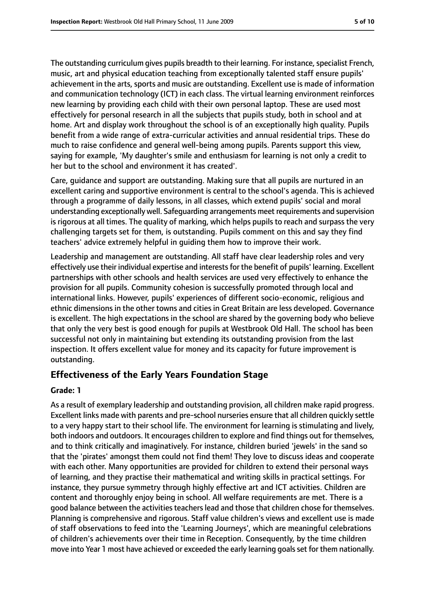The outstanding curriculum gives pupils breadth to their learning. For instance, specialist French, music, art and physical education teaching from exceptionally talented staff ensure pupils' achievement in the arts, sports and music are outstanding. Excellent use is made of information and communication technology (ICT) in each class. The virtual learning environment reinforces new learning by providing each child with their own personal laptop. These are used most effectively for personal research in all the subjects that pupils study, both in school and at home. Art and display work throughout the school is of an exceptionally high quality. Pupils benefit from a wide range of extra-curricular activities and annual residential trips. These do much to raise confidence and general well-being among pupils. Parents support this view, saying for example, 'My daughter's smile and enthusiasm for learning is not only a credit to her but to the school and environment it has created'.

Care, guidance and support are outstanding. Making sure that all pupils are nurtured in an excellent caring and supportive environment is central to the school's agenda. This is achieved through a programme of daily lessons, in all classes, which extend pupils' social and moral understanding exceptionally well. Safeguarding arrangements meet requirements and supervision is rigorous at all times. The quality of marking, which helps pupils to reach and surpass the very challenging targets set for them, is outstanding. Pupils comment on this and say they find teachers' advice extremely helpful in guiding them how to improve their work.

Leadership and management are outstanding. All staff have clear leadership roles and very effectively use their individual expertise and interestsfor the benefit of pupils' learning. Excellent partnerships with other schools and health services are used very effectively to enhance the provision for all pupils. Community cohesion is successfully promoted through local and international links. However, pupils' experiences of different socio-economic, religious and ethnic dimensions in the other towns and cities in Great Britain are less developed. Governance is excellent. The high expectations in the school are shared by the governing body who believe that only the very best is good enough for pupils at Westbrook Old Hall. The school has been successful not only in maintaining but extending its outstanding provision from the last inspection. It offers excellent value for money and its capacity for future improvement is outstanding.

## **Effectiveness of the Early Years Foundation Stage**

#### **Grade: 1**

As a result of exemplary leadership and outstanding provision, all children make rapid progress. Excellent links made with parents and pre-school nurseries ensure that all children quickly settle to a very happy start to their school life. The environment for learning is stimulating and lively, both indoors and outdoors. It encourages children to explore and find things out for themselves, and to think critically and imaginatively. For instance, children buried 'jewels' in the sand so that the 'pirates' amongst them could not find them! They love to discuss ideas and cooperate with each other. Many opportunities are provided for children to extend their personal ways of learning, and they practise their mathematical and writing skills in practical settings. For instance, they pursue symmetry through highly effective art and ICT activities. Children are content and thoroughly enjoy being in school. All welfare requirements are met. There is a good balance between the activities teachers lead and those that children chose for themselves. Planning is comprehensive and rigorous. Staff value children's views and excellent use is made of staff observations to feed into the 'Learning Journeys', which are meaningful celebrations of children's achievements over their time in Reception. Consequently, by the time children move into Year 1 most have achieved or exceeded the early learning goals set for them nationally.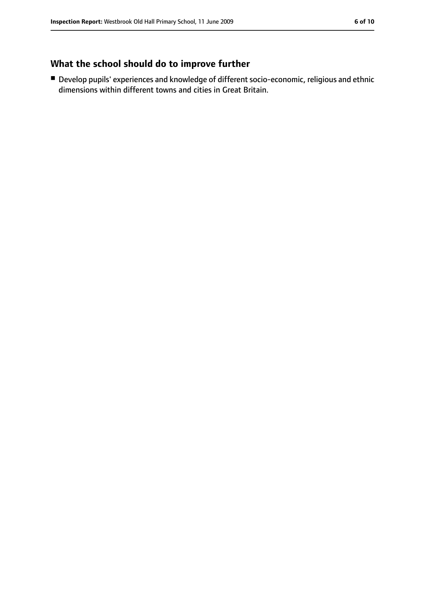# **What the school should do to improve further**

■ Develop pupils' experiences and knowledge of different socio-economic, religious and ethnic dimensions within different towns and cities in Great Britain.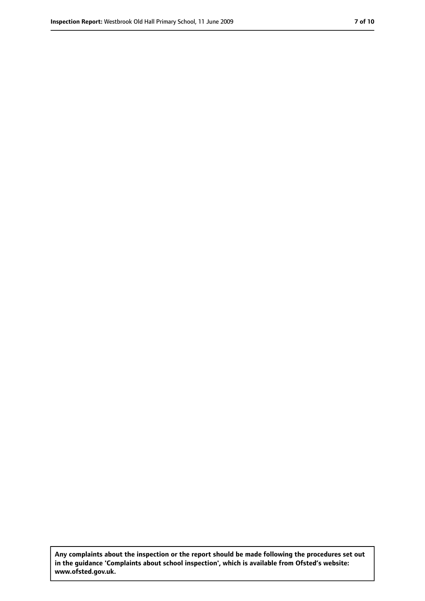**Any complaints about the inspection or the report should be made following the procedures set out in the guidance 'Complaints about school inspection', which is available from Ofsted's website: www.ofsted.gov.uk.**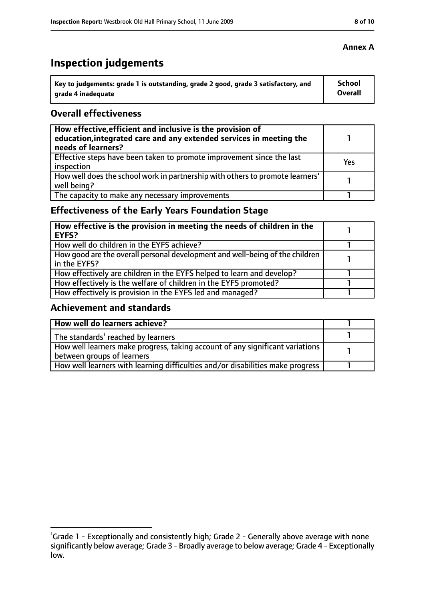# **Inspection judgements**

| Key to judgements: grade 1 is outstanding, grade 2 good, grade 3 satisfactory, and | School  |
|------------------------------------------------------------------------------------|---------|
| arade 4 inadequate                                                                 | Overall |

### **Overall effectiveness**

| How effective, efficient and inclusive is the provision of<br>education, integrated care and any extended services in meeting the<br>needs of learners? |     |
|---------------------------------------------------------------------------------------------------------------------------------------------------------|-----|
| Effective steps have been taken to promote improvement since the last<br>inspection                                                                     | Yes |
| How well does the school work in partnership with others to promote learners'<br>well being?                                                            |     |
| The capacity to make any necessary improvements                                                                                                         |     |

# **Effectiveness of the Early Years Foundation Stage**

| How effective is the provision in meeting the needs of children in the<br>l EYFS?            |  |
|----------------------------------------------------------------------------------------------|--|
| How well do children in the EYFS achieve?                                                    |  |
| How good are the overall personal development and well-being of the children<br>in the EYFS? |  |
| How effectively are children in the EYFS helped to learn and develop?                        |  |
| How effectively is the welfare of children in the EYFS promoted?                             |  |
| How effectively is provision in the EYFS led and managed?                                    |  |

## **Achievement and standards**

| How well do learners achieve?                                                               |  |
|---------------------------------------------------------------------------------------------|--|
| $\vert$ The standards <sup>1</sup> reached by learners                                      |  |
| $\mid$ How well learners make progress, taking account of any significant variations $\mid$ |  |
| between groups of learners                                                                  |  |
| How well learners with learning difficulties and/or disabilities make progress              |  |

### **Annex A**

<sup>&</sup>lt;sup>1</sup>Grade 1 - Exceptionally and consistently high; Grade 2 - Generally above average with none significantly below average; Grade 3 - Broadly average to below average; Grade 4 - Exceptionally low.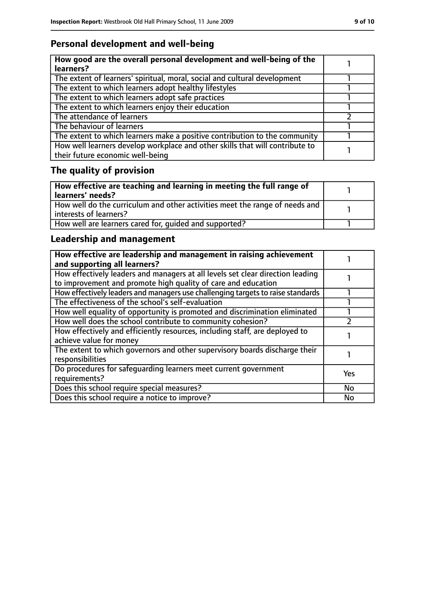# **Personal development and well-being**

| How good are the overall personal development and well-being of the<br>learners?                                 |  |
|------------------------------------------------------------------------------------------------------------------|--|
| The extent of learners' spiritual, moral, social and cultural development                                        |  |
| The extent to which learners adopt healthy lifestyles                                                            |  |
| The extent to which learners adopt safe practices                                                                |  |
| The extent to which learners enjoy their education                                                               |  |
| The attendance of learners                                                                                       |  |
| The behaviour of learners                                                                                        |  |
| The extent to which learners make a positive contribution to the community                                       |  |
| How well learners develop workplace and other skills that will contribute to<br>their future economic well-being |  |

# **The quality of provision**

| How effective are teaching and learning in meeting the full range of<br>learners' needs?              |  |
|-------------------------------------------------------------------------------------------------------|--|
| How well do the curriculum and other activities meet the range of needs and<br>interests of learners? |  |
| How well are learners cared for, quided and supported?                                                |  |

# **Leadership and management**

| How effective are leadership and management in raising achievement<br>and supporting all learners?                                              |     |
|-------------------------------------------------------------------------------------------------------------------------------------------------|-----|
| How effectively leaders and managers at all levels set clear direction leading<br>to improvement and promote high quality of care and education |     |
| How effectively leaders and managers use challenging targets to raise standards                                                                 |     |
| The effectiveness of the school's self-evaluation                                                                                               |     |
| How well equality of opportunity is promoted and discrimination eliminated                                                                      |     |
| How well does the school contribute to community cohesion?                                                                                      |     |
| How effectively and efficiently resources, including staff, are deployed to<br>achieve value for money                                          |     |
| The extent to which governors and other supervisory boards discharge their<br>responsibilities                                                  |     |
| Do procedures for safequarding learners meet current government<br>requirements?                                                                | Yes |
| Does this school require special measures?                                                                                                      | No  |
| Does this school require a notice to improve?                                                                                                   | No  |